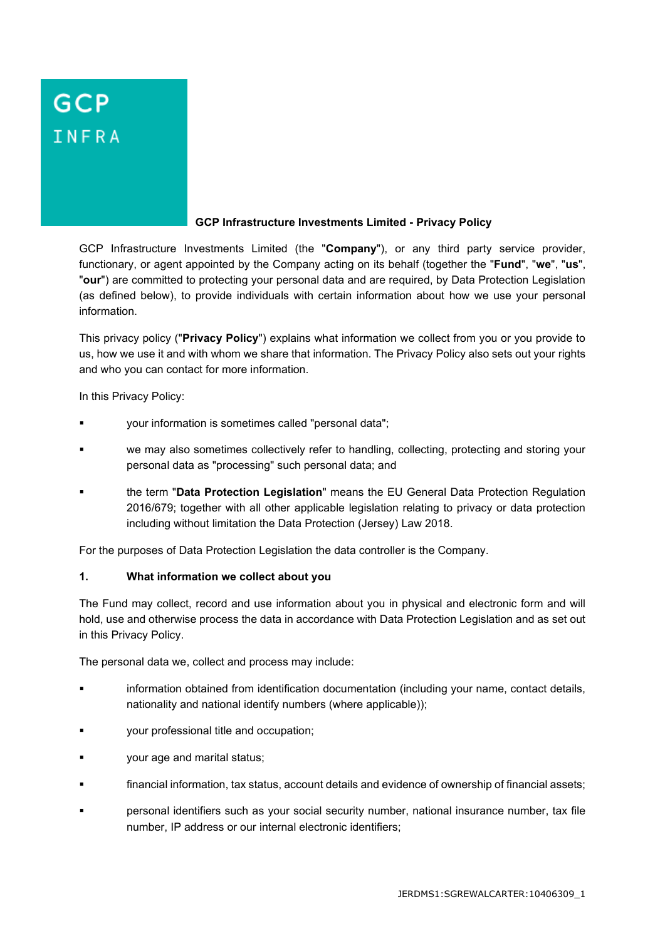# **GCP** INFRA

#### **GCP Infrastructure Investments Limited - Privacy Policy**

GCP Infrastructure Investments Limited (the "**Company**"), or any third party service provider, functionary, or agent appointed by the Company acting on its behalf (together the "**Fund**", "**we**", "**us**", "**our**") are committed to protecting your personal data and are required, by Data Protection Legislation (as defined below), to provide individuals with certain information about how we use your personal information.

This privacy policy ("**Privacy Policy**") explains what information we collect from you or you provide to us, how we use it and with whom we share that information. The Privacy Policy also sets out your rights and who you can contact for more information.

In this Privacy Policy:

- your information is sometimes called "personal data";
- we may also sometimes collectively refer to handling, collecting, protecting and storing your personal data as "processing" such personal data; and
- the term "**Data Protection Legislation**" means the EU General Data Protection Regulation 2016/679; together with all other applicable legislation relating to privacy or data protection including without limitation the Data Protection (Jersey) Law 2018.

For the purposes of Data Protection Legislation the data controller is the Company.

#### **1. What information we collect about you**

The Fund may collect, record and use information about you in physical and electronic form and will hold, use and otherwise process the data in accordance with Data Protection Legislation and as set out in this Privacy Policy.

The personal data we, collect and process may include:

- information obtained from identification documentation (including your name, contact details, nationality and national identify numbers (where applicable));
- your professional title and occupation;
- your age and marital status;
- financial information, tax status, account details and evidence of ownership of financial assets;
- personal identifiers such as your social security number, national insurance number, tax file number, IP address or our internal electronic identifiers;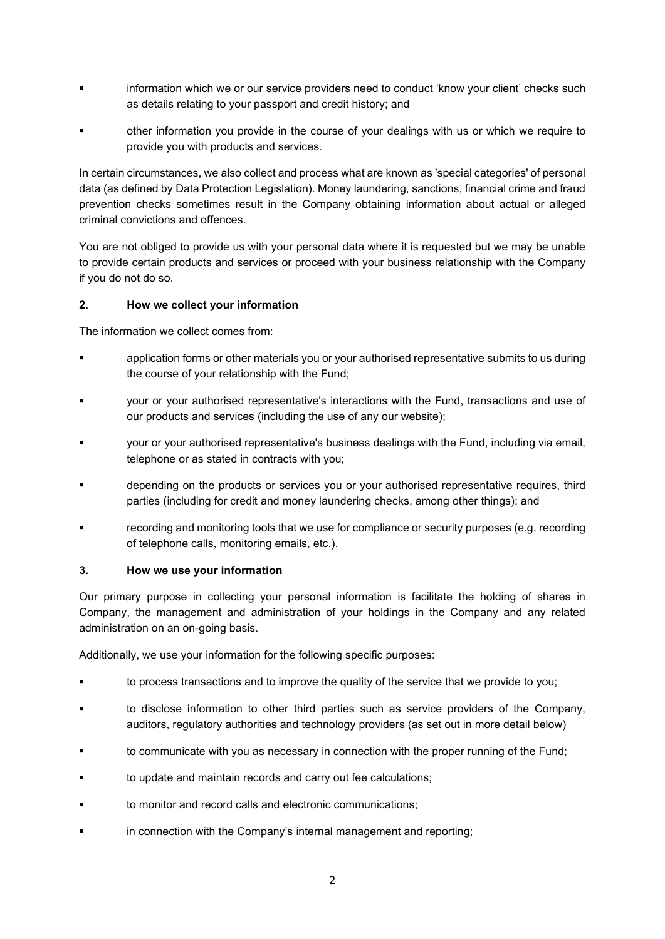- information which we or our service providers need to conduct 'know your client' checks such as details relating to your passport and credit history; and
- other information you provide in the course of your dealings with us or which we require to provide you with products and services.

In certain circumstances, we also collect and process what are known as 'special categories' of personal data (as defined by Data Protection Legislation). Money laundering, sanctions, financial crime and fraud prevention checks sometimes result in the Company obtaining information about actual or alleged criminal convictions and offences.

You are not obliged to provide us with your personal data where it is requested but we may be unable to provide certain products and services or proceed with your business relationship with the Company if you do not do so.

## **2. How we collect your information**

The information we collect comes from:

- application forms or other materials you or your authorised representative submits to us during the course of your relationship with the Fund;
- your or your authorised representative's interactions with the Fund, transactions and use of our products and services (including the use of any our website);
- your or your authorised representative's business dealings with the Fund, including via email, telephone or as stated in contracts with you;
- depending on the products or services you or your authorised representative requires, third parties (including for credit and money laundering checks, among other things); and
- recording and monitoring tools that we use for compliance or security purposes (e.g. recording of telephone calls, monitoring emails, etc.).

#### **3. How we use your information**

Our primary purpose in collecting your personal information is facilitate the holding of shares in Company, the management and administration of your holdings in the Company and any related administration on an on-going basis.

Additionally, we use your information for the following specific purposes:

- to process transactions and to improve the quality of the service that we provide to you;
- to disclose information to other third parties such as service providers of the Company, auditors, regulatory authorities and technology providers (as set out in more detail below)
- to communicate with you as necessary in connection with the proper running of the Fund;
- to update and maintain records and carry out fee calculations;
- to monitor and record calls and electronic communications;
- in connection with the Company's internal management and reporting;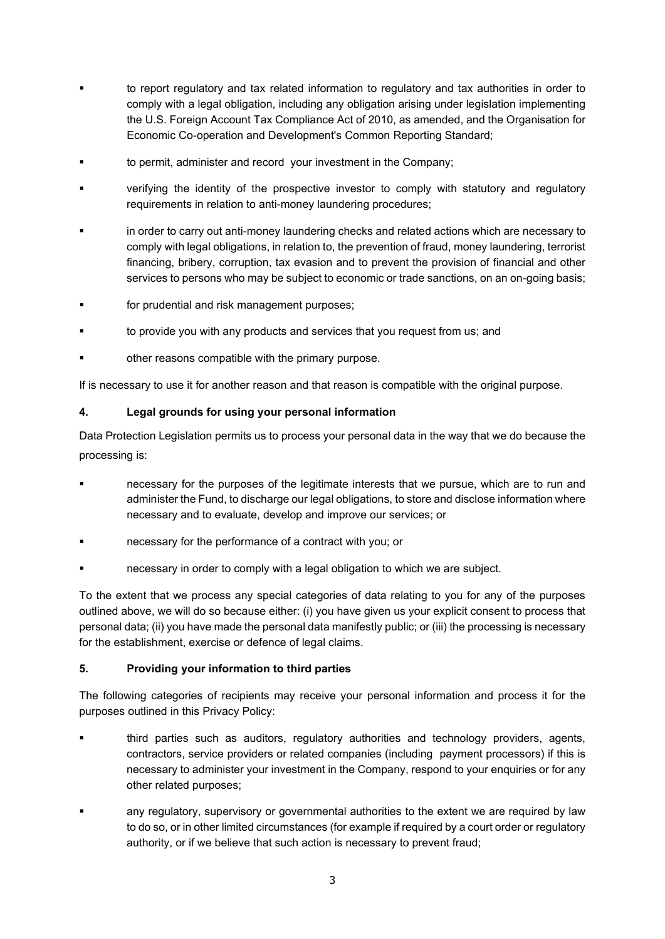- to report regulatory and tax related information to regulatory and tax authorities in order to comply with a legal obligation, including any obligation arising under legislation implementing the U.S. Foreign Account Tax Compliance Act of 2010, as amended, and the Organisation for Economic Co-operation and Development's Common Reporting Standard;
- to permit, administer and record your investment in the Company;
- verifying the identity of the prospective investor to comply with statutory and regulatory requirements in relation to anti-money laundering procedures;
- in order to carry out anti-money laundering checks and related actions which are necessary to comply with legal obligations, in relation to, the prevention of fraud, money laundering, terrorist financing, bribery, corruption, tax evasion and to prevent the provision of financial and other services to persons who may be subject to economic or trade sanctions, on an on-going basis;
- for prudential and risk management purposes;
- to provide you with any products and services that you request from us; and
- other reasons compatible with the primary purpose.

If is necessary to use it for another reason and that reason is compatible with the original purpose.

## **4. Legal grounds for using your personal information**

Data Protection Legislation permits us to process your personal data in the way that we do because the processing is:

- necessary for the purposes of the legitimate interests that we pursue, which are to run and administer the Fund, to discharge our legal obligations, to store and disclose information where necessary and to evaluate, develop and improve our services; or
- necessary for the performance of a contract with you; or
- necessary in order to comply with a legal obligation to which we are subject.

To the extent that we process any special categories of data relating to you for any of the purposes outlined above, we will do so because either: (i) you have given us your explicit consent to process that personal data; (ii) you have made the personal data manifestly public; or (iii) the processing is necessary for the establishment, exercise or defence of legal claims.

#### **5. Providing your information to third parties**

The following categories of recipients may receive your personal information and process it for the purposes outlined in this Privacy Policy:

- third parties such as auditors, regulatory authorities and technology providers, agents, contractors, service providers or related companies (including payment processors) if this is necessary to administer your investment in the Company, respond to your enquiries or for any other related purposes;
- any regulatory, supervisory or governmental authorities to the extent we are required by law to do so, or in other limited circumstances (for example if required by a court order or regulatory authority, or if we believe that such action is necessary to prevent fraud;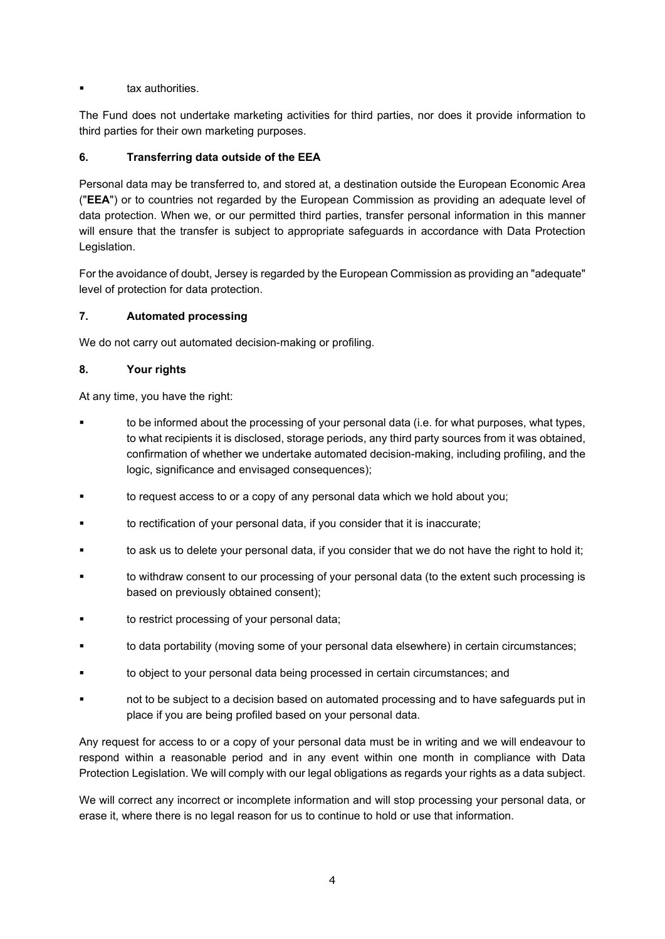tax authorities.

The Fund does not undertake marketing activities for third parties, nor does it provide information to third parties for their own marketing purposes.

## **6. Transferring data outside of the EEA**

Personal data may be transferred to, and stored at, a destination outside the European Economic Area ("**EEA**") or to countries not regarded by the European Commission as providing an adequate level of data protection. When we, or our permitted third parties, transfer personal information in this manner will ensure that the transfer is subject to appropriate safeguards in accordance with Data Protection Legislation.

For the avoidance of doubt, Jersey is regarded by the European Commission as providing an "adequate" level of protection for data protection.

## **7. Automated processing**

We do not carry out automated decision-making or profiling.

## **8. Your rights**

At any time, you have the right:

- to be informed about the processing of your personal data (i.e. for what purposes, what types, to what recipients it is disclosed, storage periods, any third party sources from it was obtained, confirmation of whether we undertake automated decision-making, including profiling, and the logic, significance and envisaged consequences);
- to request access to or a copy of any personal data which we hold about you;
- to rectification of your personal data, if you consider that it is inaccurate;
- to ask us to delete your personal data, if you consider that we do not have the right to hold it;
- to withdraw consent to our processing of your personal data (to the extent such processing is based on previously obtained consent);
- to restrict processing of your personal data;
- to data portability (moving some of your personal data elsewhere) in certain circumstances;
- to object to your personal data being processed in certain circumstances; and
- not to be subject to a decision based on automated processing and to have safeguards put in place if you are being profiled based on your personal data.

Any request for access to or a copy of your personal data must be in writing and we will endeavour to respond within a reasonable period and in any event within one month in compliance with Data Protection Legislation. We will comply with our legal obligations as regards your rights as a data subject.

We will correct any incorrect or incomplete information and will stop processing your personal data, or erase it, where there is no legal reason for us to continue to hold or use that information.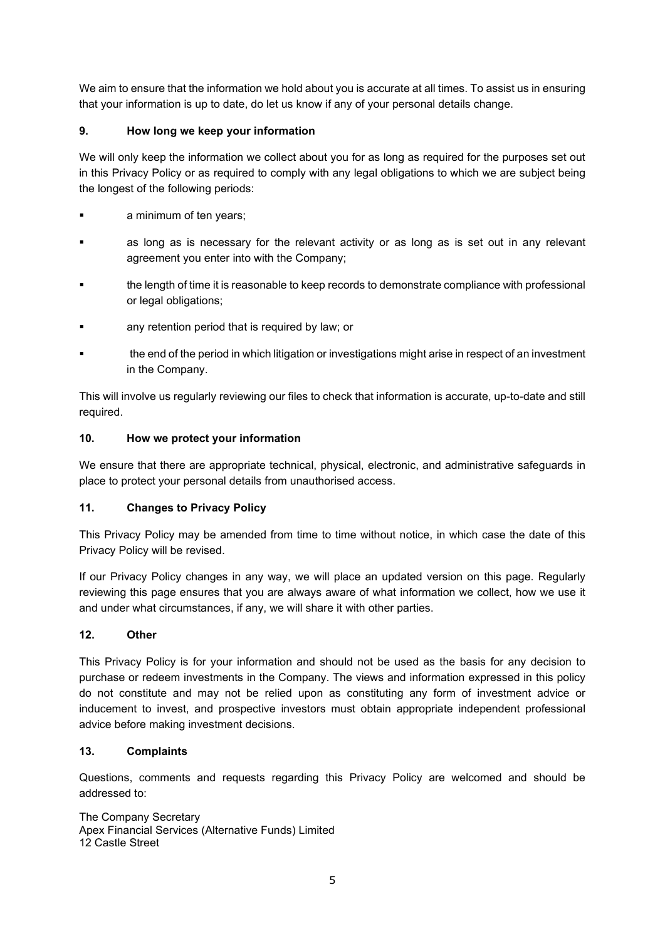We aim to ensure that the information we hold about you is accurate at all times. To assist us in ensuring that your information is up to date, do let us know if any of your personal details change.

# **9. How long we keep your information**

We will only keep the information we collect about you for as long as required for the purposes set out in this Privacy Policy or as required to comply with any legal obligations to which we are subject being the longest of the following periods:

- a minimum of ten years;
- as long as is necessary for the relevant activity or as long as is set out in any relevant agreement you enter into with the Company;
- the length of time it is reasonable to keep records to demonstrate compliance with professional or legal obligations;
- any retention period that is required by law; or
- the end of the period in which litigation or investigations might arise in respect of an investment in the Company.

This will involve us regularly reviewing our files to check that information is accurate, up-to-date and still required.

## **10. How we protect your information**

We ensure that there are appropriate technical, physical, electronic, and administrative safeguards in place to protect your personal details from unauthorised access.

# **11. Changes to Privacy Policy**

This Privacy Policy may be amended from time to time without notice, in which case the date of this Privacy Policy will be revised.

If our Privacy Policy changes in any way, we will place an updated version on this page. Regularly reviewing this page ensures that you are always aware of what information we collect, how we use it and under what circumstances, if any, we will share it with other parties.

# **12. Other**

This Privacy Policy is for your information and should not be used as the basis for any decision to purchase or redeem investments in the Company. The views and information expressed in this policy do not constitute and may not be relied upon as constituting any form of investment advice or inducement to invest, and prospective investors must obtain appropriate independent professional advice before making investment decisions.

# **13. Complaints**

Questions, comments and requests regarding this Privacy Policy are welcomed and should be addressed to:

The Company Secretary Apex Financial Services (Alternative Funds) Limited 12 Castle Street